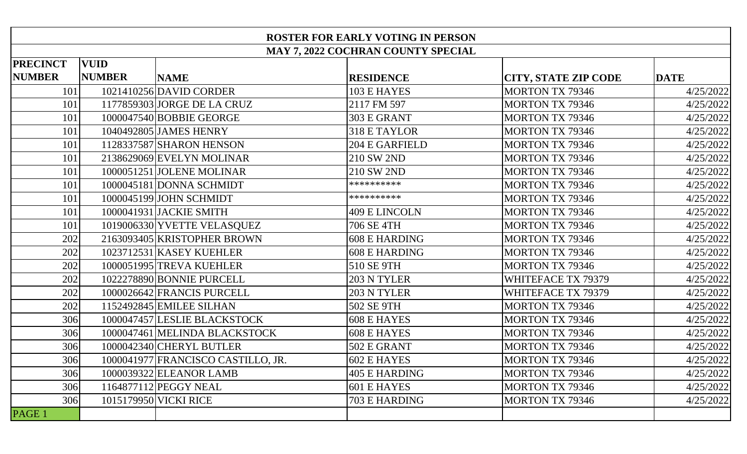| <b>ROSTER FOR EARLY VOTING IN PERSON</b> |                                           |                                    |                      |                             |             |  |
|------------------------------------------|-------------------------------------------|------------------------------------|----------------------|-----------------------------|-------------|--|
|                                          | <b>MAY 7, 2022 COCHRAN COUNTY SPECIAL</b> |                                    |                      |                             |             |  |
| <b>PRECINCT</b>                          | <b>VUID</b>                               |                                    |                      |                             |             |  |
| <b>NUMBER</b>                            | <b>NUMBER</b>                             | <b>NAME</b>                        | <b>RESIDENCE</b>     | <b>CITY, STATE ZIP CODE</b> | <b>DATE</b> |  |
| 101                                      |                                           | 1021410256 DAVID CORDER            | 103 E HAYES          | <b>MORTON TX 79346</b>      | 4/25/2022   |  |
| 101                                      |                                           | 1177859303 JORGE DE LA CRUZ        | 2117 FM 597          | <b>MORTON TX 79346</b>      | 4/25/2022   |  |
| 101                                      |                                           | 1000047540 BOBBIE GEORGE           | 303 E GRANT          | <b>MORTON TX 79346</b>      | 4/25/2022   |  |
| 101                                      |                                           | 1040492805 JAMES HENRY             | 318 E TAYLOR         | <b>MORTON TX 79346</b>      | 4/25/2022   |  |
| 101                                      |                                           | 1128337587 SHARON HENSON           | 204 E GARFIELD       | <b>MORTON TX 79346</b>      | 4/25/2022   |  |
| 101                                      |                                           | 2138629069 EVELYN MOLINAR          | 210 SW 2ND           | <b>MORTON TX 79346</b>      | 4/25/2022   |  |
| 101                                      |                                           | 1000051251 JOLENE MOLINAR          | 210 SW 2ND           | <b>MORTON TX 79346</b>      | 4/25/2022   |  |
| 101                                      |                                           | 1000045181 DONNA SCHMIDT           | **********           | <b>MORTON TX 79346</b>      | 4/25/2022   |  |
| 101                                      |                                           | 1000045199 JOHN SCHMIDT            | **********           | <b>MORTON TX 79346</b>      | 4/25/2022   |  |
| 101                                      |                                           | 1000041931 JACKIE SMITH            | <b>409 E LINCOLN</b> | <b>MORTON TX 79346</b>      | 4/25/2022   |  |
| 101                                      |                                           | 1019006330 YVETTE VELASQUEZ        | 706 SE 4TH           | <b>MORTON TX 79346</b>      | 4/25/2022   |  |
| 202                                      |                                           | 2163093405 KRISTOPHER BROWN        | <b>608 E HARDING</b> | <b>MORTON TX 79346</b>      | 4/25/2022   |  |
| 202                                      |                                           | 1023712531 KASEY KUEHLER           | <b>608 E HARDING</b> | <b>MORTON TX 79346</b>      | 4/25/2022   |  |
| 202                                      |                                           | 1000051995 TREVA KUEHLER           | 510 SE 9TH           | <b>MORTON TX 79346</b>      | 4/25/2022   |  |
| 202                                      |                                           | 1022278890 BONNIE PURCELL          | 203 N TYLER          | WHITEFACE TX 79379          | 4/25/2022   |  |
| 202                                      |                                           | 1000026642 FRANCIS PURCELL         | 203 N TYLER          | WHITEFACE TX 79379          | 4/25/2022   |  |
| 202                                      |                                           | 1152492845 EMILEE SILHAN           | 502 SE 9TH           | <b>MORTON TX 79346</b>      | 4/25/2022   |  |
| 306                                      |                                           | 1000047457 LESLIE BLACKSTOCK       | <b>608 E HAYES</b>   | <b>MORTON TX 79346</b>      | 4/25/2022   |  |
| 306                                      |                                           | 1000047461 MELINDA BLACKSTOCK      | <b>608 E HAYES</b>   | <b>MORTON TX 79346</b>      | 4/25/2022   |  |
| 306                                      |                                           | 1000042340 CHERYL BUTLER           | 502 E GRANT          | <b>MORTON TX 79346</b>      | 4/25/2022   |  |
| 306                                      |                                           | 1000041977 FRANCISCO CASTILLO, JR. | 602 E HAYES          | <b>MORTON TX 79346</b>      | 4/25/2022   |  |
| 306                                      |                                           | 1000039322 ELEANOR LAMB            | <b>405 E HARDING</b> | <b>MORTON TX 79346</b>      | 4/25/2022   |  |
| 306                                      |                                           | 1164877112 PEGGY NEAL              | 601 E HAYES          | <b>MORTON TX 79346</b>      | 4/25/2022   |  |
| 306                                      |                                           | 1015179950 VICKI RICE              | 703 E HARDING        | <b>MORTON TX 79346</b>      | 4/25/2022   |  |
| PAGE 1                                   |                                           |                                    |                      |                             |             |  |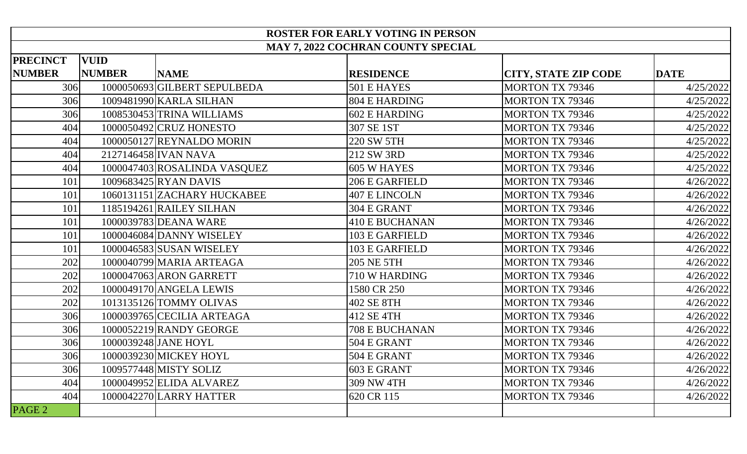| <b>ROSTER FOR EARLY VOTING IN PERSON</b> |               |                              |                                    |                             |             |
|------------------------------------------|---------------|------------------------------|------------------------------------|-----------------------------|-------------|
|                                          |               |                              | MAY 7, 2022 COCHRAN COUNTY SPECIAL |                             |             |
| <b>PRECINCT</b>                          | <b>VUID</b>   |                              |                                    |                             |             |
| <b>NUMBER</b>                            | <b>NUMBER</b> | <b>NAME</b>                  | <b>RESIDENCE</b>                   | <b>CITY, STATE ZIP CODE</b> | <b>DATE</b> |
| 306                                      |               | 1000050693 GILBERT SEPULBEDA | 501 E HAYES                        | <b>MORTON TX 79346</b>      | 4/25/2022   |
| 306                                      |               | 1009481990 KARLA SILHAN      | <b>804 E HARDING</b>               | <b>MORTON TX 79346</b>      | 4/25/2022   |
| 306                                      |               | 1008530453 TRINA WILLIAMS    | <b>602 E HARDING</b>               | <b>MORTON TX 79346</b>      | 4/25/2022   |
| 404                                      |               | 1000050492 CRUZ HONESTO      | 307 SE 1ST                         | <b>MORTON TX 79346</b>      | 4/25/2022   |
| 404                                      |               | 1000050127 REYNALDO MORIN    | 220 SW 5TH                         | <b>MORTON TX 79346</b>      | 4/25/2022   |
| 404                                      |               | 2127146458 IVAN NAVA         | 212 SW 3RD                         | <b>MORTON TX 79346</b>      | 4/25/2022   |
| 404                                      |               | 1000047403 ROSALINDA VASQUEZ | 605 W HAYES                        | <b>MORTON TX 79346</b>      | 4/25/2022   |
| 101                                      |               | 1009683425 RYAN DAVIS        | 206 E GARFIELD                     | <b>MORTON TX 79346</b>      | 4/26/2022   |
| 101                                      |               | 1060131151 ZACHARY HUCKABEE  | <b>407 E LINCOLN</b>               | <b>MORTON TX 79346</b>      | 4/26/2022   |
| 101                                      |               | 1185194261 RAILEY SILHAN     | 304 E GRANT                        | <b>MORTON TX 79346</b>      | 4/26/2022   |
| 101                                      |               | 1000039783 DEANA WARE        | <b>410 E BUCHANAN</b>              | <b>MORTON TX 79346</b>      | 4/26/2022   |
| 101                                      |               | 1000046084 DANNY WISELEY     | <b>103 E GARFIELD</b>              | <b>MORTON TX 79346</b>      | 4/26/2022   |
| 101                                      |               | 1000046583 SUSAN WISELEY     | <b>103 E GARFIELD</b>              | <b>MORTON TX 79346</b>      | 4/26/2022   |
| 202                                      |               | 1000040799 MARIA ARTEAGA     | <b>205 NE 5TH</b>                  | <b>MORTON TX 79346</b>      | 4/26/2022   |
| 202                                      |               | 1000047063 ARON GARRETT      | 710 W HARDING                      | <b>MORTON TX 79346</b>      | 4/26/2022   |
| 202                                      |               | 1000049170 ANGELA LEWIS      | 1580 CR 250                        | <b>MORTON TX 79346</b>      | 4/26/2022   |
| 202                                      |               | 1013135126 TOMMY OLIVAS      | 402 SE 8TH                         | <b>MORTON TX 79346</b>      | 4/26/2022   |
| 306                                      |               | 1000039765 CECILIA ARTEAGA   | 412 SE 4TH                         | <b>MORTON TX 79346</b>      | 4/26/2022   |
| 306                                      |               | 1000052219 RANDY GEORGE      | <b>708 E BUCHANAN</b>              | <b>MORTON TX 79346</b>      | 4/26/2022   |
| 306                                      |               | 1000039248 JANE HOYL         | 504 E GRANT                        | <b>MORTON TX 79346</b>      | 4/26/2022   |
| 306                                      |               | 1000039230 MICKEY HOYL       | 504 E GRANT                        | <b>MORTON TX 79346</b>      | 4/26/2022   |
| 306                                      |               | 1009577448 MISTY SOLIZ       | 603 E GRANT                        | <b>MORTON TX 79346</b>      | 4/26/2022   |
| 404                                      |               | 1000049952 ELIDA ALVAREZ     | <b>309 NW 4TH</b>                  | <b>MORTON TX 79346</b>      | 4/26/2022   |
| 404                                      |               | 1000042270 LARRY HATTER      | 620 CR 115                         | <b>MORTON TX 79346</b>      | 4/26/2022   |
| PAGE <sub>2</sub>                        |               |                              |                                    |                             |             |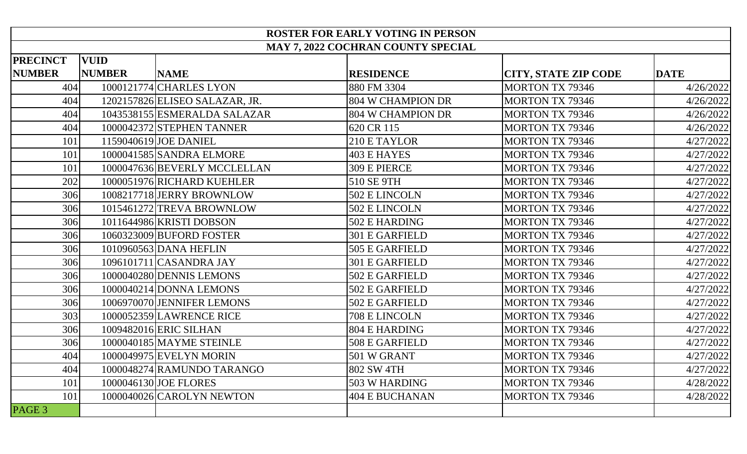| <b>ROSTER FOR EARLY VOTING IN PERSON</b> |               |                                |                                    |                             |             |
|------------------------------------------|---------------|--------------------------------|------------------------------------|-----------------------------|-------------|
|                                          |               |                                | MAY 7, 2022 COCHRAN COUNTY SPECIAL |                             |             |
| <b>PRECINCT</b>                          | <b>VUID</b>   |                                |                                    |                             |             |
| <b>NUMBER</b>                            | <b>NUMBER</b> | <b>NAME</b>                    | <b>RESIDENCE</b>                   | <b>CITY, STATE ZIP CODE</b> | <b>DATE</b> |
| 404                                      |               | 1000121774 CHARLES LYON        | 880 FM 3304                        | <b>MORTON TX 79346</b>      | 4/26/2022   |
| 404                                      |               | 1202157826 ELISEO SALAZAR, JR. | 804 W CHAMPION DR                  | <b>MORTON TX 79346</b>      | 4/26/2022   |
| 404                                      |               | 1043538155 ESMERALDA SALAZAR   | <b>804 W CHAMPION DR</b>           | <b>MORTON TX 79346</b>      | 4/26/2022   |
| 404                                      |               | 1000042372 STEPHEN TANNER      | 620 CR 115                         | <b>MORTON TX 79346</b>      | 4/26/2022   |
| 101                                      |               | 1159040619 JOE DANIEL          | 210 E TAYLOR                       | <b>MORTON TX 79346</b>      | 4/27/2022   |
| 101                                      |               | 1000041585 SANDRA ELMORE       | <b>403 E HAYES</b>                 | <b>MORTON TX 79346</b>      | 4/27/2022   |
| 101                                      |               | 1000047636 BEVERLY MCCLELLAN   | 309 E PIERCE                       | <b>MORTON TX 79346</b>      | 4/27/2022   |
| 202                                      |               | 1000051976 RICHARD KUEHLER     | 510 SE 9TH                         | <b>MORTON TX 79346</b>      | 4/27/2022   |
| 306                                      |               | 1008217718 JERRY BROWNLOW      | 502 E LINCOLN                      | <b>MORTON TX 79346</b>      | 4/27/2022   |
| 306                                      |               | 1015461272 TREVA BROWNLOW      | 502 E LINCOLN                      | <b>MORTON TX 79346</b>      | 4/27/2022   |
| 306                                      |               | 1011644986 KRISTI DOBSON       | 502 E HARDING                      | <b>MORTON TX 79346</b>      | 4/27/2022   |
| 306                                      |               | 1060323009 BUFORD FOSTER       | <b>301 E GARFIELD</b>              | <b>MORTON TX 79346</b>      | 4/27/2022   |
| 306                                      |               | 1010960563 DANA HEFLIN         | <b>505 E GARFIELD</b>              | <b>MORTON TX 79346</b>      | 4/27/2022   |
| 306                                      |               | 1096101711 CASANDRA JAY        | <b>301 E GARFIELD</b>              | <b>MORTON TX 79346</b>      | 4/27/2022   |
| 306                                      |               | 1000040280 DENNIS LEMONS       | 502 E GARFIELD                     | <b>MORTON TX 79346</b>      | 4/27/2022   |
| 306                                      |               | 1000040214 DONNA LEMONS        | 502 E GARFIELD                     | <b>MORTON TX 79346</b>      | 4/27/2022   |
| 306                                      |               | 1006970070 JENNIFER LEMONS     | 502 E GARFIELD                     | <b>MORTON TX 79346</b>      | 4/27/2022   |
| 303                                      |               | 1000052359 LAWRENCE RICE       | 708 E LINCOLN                      | <b>MORTON TX 79346</b>      | 4/27/2022   |
| 306                                      |               | 1009482016 ERIC SILHAN         | <b>804 E HARDING</b>               | <b>MORTON TX 79346</b>      | 4/27/2022   |
| 306                                      |               | 1000040185 MAYME STEINLE       | 508 E GARFIELD                     | <b>MORTON TX 79346</b>      | 4/27/2022   |
| 404                                      |               | 1000049975 EVELYN MORIN        | 501 W GRANT                        | <b>MORTON TX 79346</b>      | 4/27/2022   |
| 404                                      |               | 1000048274 RAMUNDO TARANGO     | 802 SW 4TH                         | <b>MORTON TX 79346</b>      | 4/27/2022   |
| 101                                      |               | 1000046130 JOE FLORES          | 503 W HARDING                      | <b>MORTON TX 79346</b>      | 4/28/2022   |
| 101                                      |               | 1000040026 CAROLYN NEWTON      | <b>404 E BUCHANAN</b>              | <b>MORTON TX 79346</b>      | 4/28/2022   |
| PAGE 3                                   |               |                                |                                    |                             |             |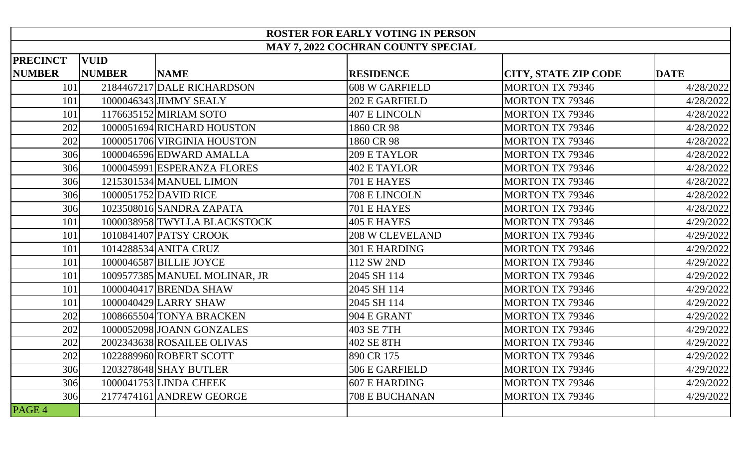| <b>ROSTER FOR EARLY VOTING IN PERSON</b> |               |                               |                                    |                             |             |
|------------------------------------------|---------------|-------------------------------|------------------------------------|-----------------------------|-------------|
|                                          |               |                               | MAY 7, 2022 COCHRAN COUNTY SPECIAL |                             |             |
| <b>PRECINCT</b>                          | <b>VUID</b>   |                               |                                    |                             |             |
| <b>NUMBER</b>                            | <b>NUMBER</b> | <b>NAME</b>                   | <b>RESIDENCE</b>                   | <b>CITY, STATE ZIP CODE</b> | <b>DATE</b> |
| 101                                      |               | 2184467217 DALE RICHARDSON    | <b>608 W GARFIELD</b>              | <b>MORTON TX 79346</b>      | 4/28/2022   |
| 101                                      |               | 1000046343 JIMMY SEALY        | 202 E GARFIELD                     | <b>MORTON TX 79346</b>      | 4/28/2022   |
| 101                                      |               | 1176635152 MIRIAM SOTO        | <b>407 E LINCOLN</b>               | <b>MORTON TX 79346</b>      | 4/28/2022   |
| 202                                      |               | 1000051694 RICHARD HOUSTON    | 1860 CR 98                         | <b>MORTON TX 79346</b>      | 4/28/2022   |
| 202                                      |               | 1000051706 VIRGINIA HOUSTON   | 1860 CR 98                         | <b>MORTON TX 79346</b>      | 4/28/2022   |
| 306                                      |               | 1000046596 EDWARD AMALLA      | 209 E TAYLOR                       | <b>MORTON TX 79346</b>      | 4/28/2022   |
| 306                                      |               | 1000045991 ESPERANZA FLORES   | <b>402 E TAYLOR</b>                | <b>MORTON TX 79346</b>      | 4/28/2022   |
| 306                                      |               | 1215301534 MANUEL LIMON       | 701 E HAYES                        | <b>MORTON TX 79346</b>      | 4/28/2022   |
| 306                                      |               | 1000051752 DAVID RICE         | 708 E LINCOLN                      | <b>MORTON TX 79346</b>      | 4/28/2022   |
| 306                                      |               | 1023508016 SANDRA ZAPATA      | 701 E HAYES                        | <b>MORTON TX 79346</b>      | 4/28/2022   |
| 101                                      |               | 1000038958 TWYLLA BLACKSTOCK  | <b>405 E HAYES</b>                 | <b>MORTON TX 79346</b>      | 4/29/2022   |
| 101                                      |               | 1010841407 PATSY CROOK        | <b>208 W CLEVELAND</b>             | <b>MORTON TX 79346</b>      | 4/29/2022   |
| 101                                      |               | 1014288534 ANITA CRUZ         | <b>301 E HARDING</b>               | <b>MORTON TX 79346</b>      | 4/29/2022   |
| 101                                      |               | 1000046587 BILLIE JOYCE       | 112 SW 2ND                         | <b>MORTON TX 79346</b>      | 4/29/2022   |
| 101                                      |               | 1009577385 MANUEL MOLINAR, JR | 2045 SH 114                        | <b>MORTON TX 79346</b>      | 4/29/2022   |
| 101                                      |               | 1000040417 BRENDA SHAW        | 2045 SH 114                        | <b>MORTON TX 79346</b>      | 4/29/2022   |
| 101                                      |               | 1000040429 LARRY SHAW         | 2045 SH 114                        | <b>MORTON TX 79346</b>      | 4/29/2022   |
| 202                                      |               | 1008665504 TONYA BRACKEN      | 904 E GRANT                        | <b>MORTON TX 79346</b>      | 4/29/2022   |
| 202                                      |               | 1000052098 JOANN GONZALES     | 403 SE 7TH                         | <b>MORTON TX 79346</b>      | 4/29/2022   |
| 202                                      |               | 2002343638 ROSAILEE OLIVAS    | 402 SE 8TH                         | <b>MORTON TX 79346</b>      | 4/29/2022   |
| 202                                      |               | 1022889960 ROBERT SCOTT       | 890 CR 175                         | <b>MORTON TX 79346</b>      | 4/29/2022   |
| 306                                      |               | 1203278648 SHAY BUTLER        | 506 E GARFIELD                     | <b>MORTON TX 79346</b>      | 4/29/2022   |
| 306                                      |               | 1000041753 LINDA CHEEK        | <b>607 E HARDING</b>               | <b>MORTON TX 79346</b>      | 4/29/2022   |
| 306                                      |               | 2177474161 ANDREW GEORGE      | <b>708 E BUCHANAN</b>              | <b>MORTON TX 79346</b>      | 4/29/2022   |
| PAGE 4                                   |               |                               |                                    |                             |             |